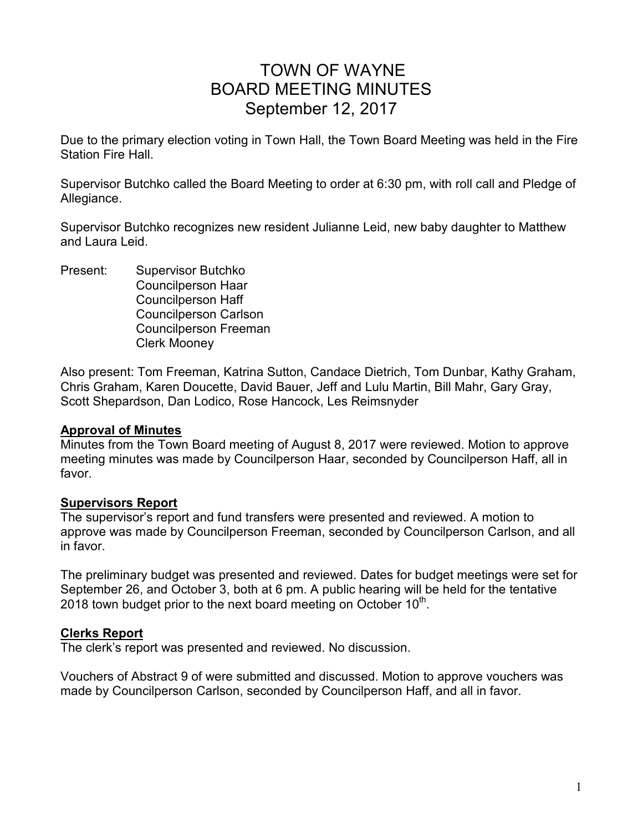# TOWN OF WAYNE BOARD MEETING MINUTES September 12, 2017

Due to the primary election voting in Town Hall, the Town Board Meeting was held in the Fire Station Fire Hall.

Supervisor Butchko called the Board Meeting to order at 6:30 pm, with roll call and Pledge of Allegiance.

Supervisor Butchko recognizes new resident Julianne Leid, new baby daughter to Matthew and Laura Leid.

Present: Supervisor Butchko Councilperson Haar Councilperson Haff Councilperson Carlson Councilperson Freeman Clerk Mooney

Also present: Tom Freeman, Katrina Sutton, Candace Dietrich, Tom Dunbar, Kathy Graham, Chris Graham, Karen Doucette, David Bauer, Jeff and Lulu Martin, Bill Mahr, Gary Gray, Scott Shepardson, Dan Lodico, Rose Hancock, Les Reimsnyder

#### **Approval of Minutes**

Minutes from the Town Board meeting of August 8, 2017 were reviewed. Motion to approve meeting minutes was made by Councilperson Haar, seconded by Councilperson Haff, all in favor.

# **Supervisors Report**

The supervisor's report and fund transfers were presented and reviewed. A motion to approve was made by Councilperson Freeman, seconded by Councilperson Carlson, and all in favor.

The preliminary budget was presented and reviewed. Dates for budget meetings were set for September 26, and October 3, both at 6 pm. A public hearing will be held for the tentative 2018 town budget prior to the next board meeting on October 10<sup>th</sup>.

# **Clerks Report**

The clerk's report was presented and reviewed. No discussion.

Vouchers of Abstract 9 of were submitted and discussed. Motion to approve vouchers was made by Councilperson Carlson, seconded by Councilperson Haff, and all in favor.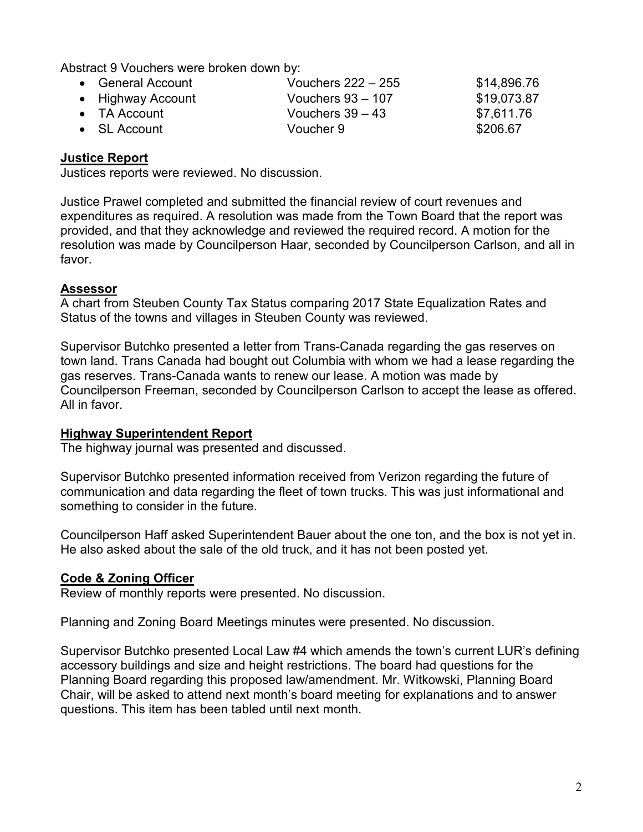Abstract 9 Vouchers were broken down by:

| • General Account    | Vouchers $222 - 255$ | \$14,896.76 |
|----------------------|----------------------|-------------|
| • Highway Account    | Vouchers $93 - 107$  | \$19,073.87 |
| $\bullet$ TA Account | Vouchers $39 - 43$   | \$7,611.76  |
| $\bullet$ SL Account | Voucher 9            | \$206.67    |

# **Justice Report**

Justices reports were reviewed. No discussion.

Justice Prawel completed and submitted the financial review of court revenues and expenditures as required. A resolution was made from the Town Board that the report was provided, and that they acknowledge and reviewed the required record. A motion for the resolution was made by Councilperson Haar, seconded by Councilperson Carlson, and all in favor.

### **Assessor**

A chart from Steuben County Tax Status comparing 2017 State Equalization Rates and Status of the towns and villages in Steuben County was reviewed.

Supervisor Butchko presented a letter from Trans-Canada regarding the gas reserves on town land. Trans Canada had bought out Columbia with whom we had a lease regarding the gas reserves. Trans-Canada wants to renew our lease. A motion was made by Councilperson Freeman, seconded by Councilperson Carlson to accept the lease as offered. All in favor.

#### **Highway Superintendent Report**

The highway journal was presented and discussed.

Supervisor Butchko presented information received from Verizon regarding the future of communication and data regarding the fleet of town trucks. This was just informational and something to consider in the future.

Councilperson Haff asked Superintendent Bauer about the one ton, and the box is not yet in. He also asked about the sale of the old truck, and it has not been posted yet.

# **Code & Zoning Officer**

Review of monthly reports were presented. No discussion.

Planning and Zoning Board Meetings minutes were presented. No discussion.

Supervisor Butchko presented Local Law #4 which amends the town's current LUR's defining accessory buildings and size and height restrictions. The board had questions for the Planning Board regarding this proposed law/amendment. Mr. Witkowski, Planning Board Chair, will be asked to attend next month's board meeting for explanations and to answer questions. This item has been tabled until next month.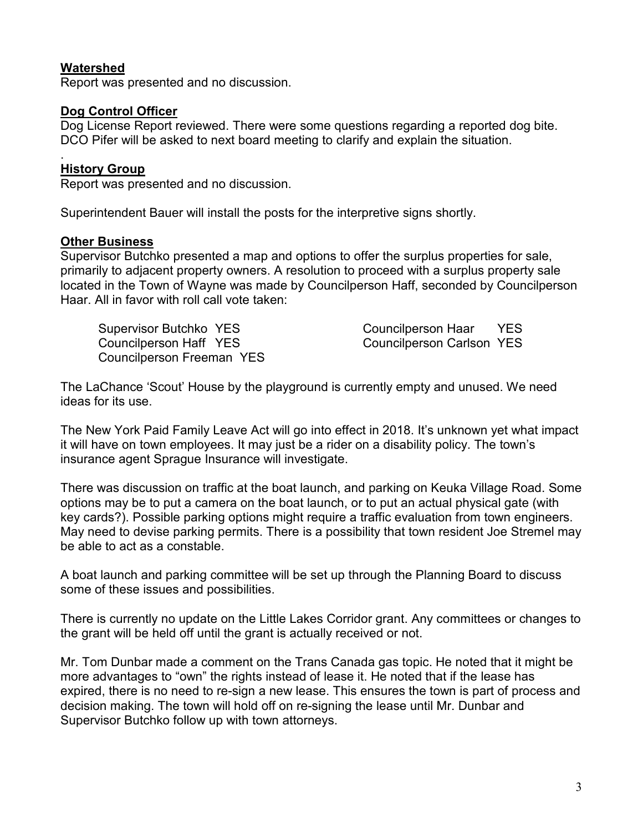### **Watershed**

Report was presented and no discussion.

### **Dog Control Officer**

Dog License Report reviewed. There were some questions regarding a reported dog bite. DCO Pifer will be asked to next board meeting to clarify and explain the situation.

#### . **History Group**

Report was presented and no discussion.

Superintendent Bauer will install the posts for the interpretive signs shortly.

#### **Other Business**

Supervisor Butchko presented a map and options to offer the surplus properties for sale, primarily to adjacent property owners. A resolution to proceed with a surplus property sale located in the Town of Wayne was made by Councilperson Haff, seconded by Councilperson Haar. All in favor with roll call vote taken:

Supervisor Butchko YES Councilperson Haar YES Councilperson Haff YES Councilperson Carlson YES Councilperson Freeman YES

The LaChance 'Scout' House by the playground is currently empty and unused. We need ideas for its use.

The New York Paid Family Leave Act will go into effect in 2018. It's unknown yet what impact it will have on town employees. It may just be a rider on a disability policy. The town's insurance agent Sprague Insurance will investigate.

There was discussion on traffic at the boat launch, and parking on Keuka Village Road. Some options may be to put a camera on the boat launch, or to put an actual physical gate (with key cards?). Possible parking options might require a traffic evaluation from town engineers. May need to devise parking permits. There is a possibility that town resident Joe Stremel may be able to act as a constable.

A boat launch and parking committee will be set up through the Planning Board to discuss some of these issues and possibilities.

There is currently no update on the Little Lakes Corridor grant. Any committees or changes to the grant will be held off until the grant is actually received or not.

Mr. Tom Dunbar made a comment on the Trans Canada gas topic. He noted that it might be more advantages to "own" the rights instead of lease it. He noted that if the lease has expired, there is no need to re-sign a new lease. This ensures the town is part of process and decision making. The town will hold off on re-signing the lease until Mr. Dunbar and Supervisor Butchko follow up with town attorneys.